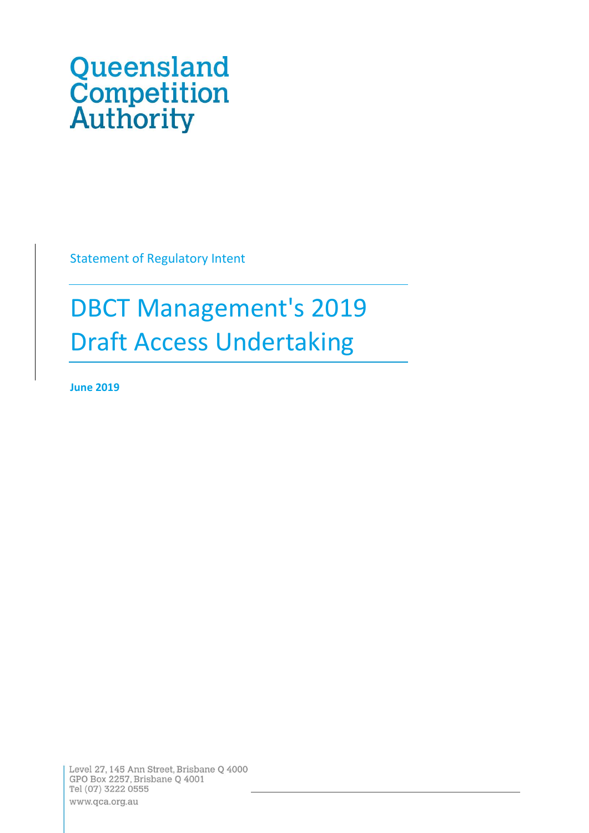# Queensland<br>Competition<br>Authority

Statement of Regulatory Intent

# DBCT Management's 2019 Draft Access Undertaking

**June 2019**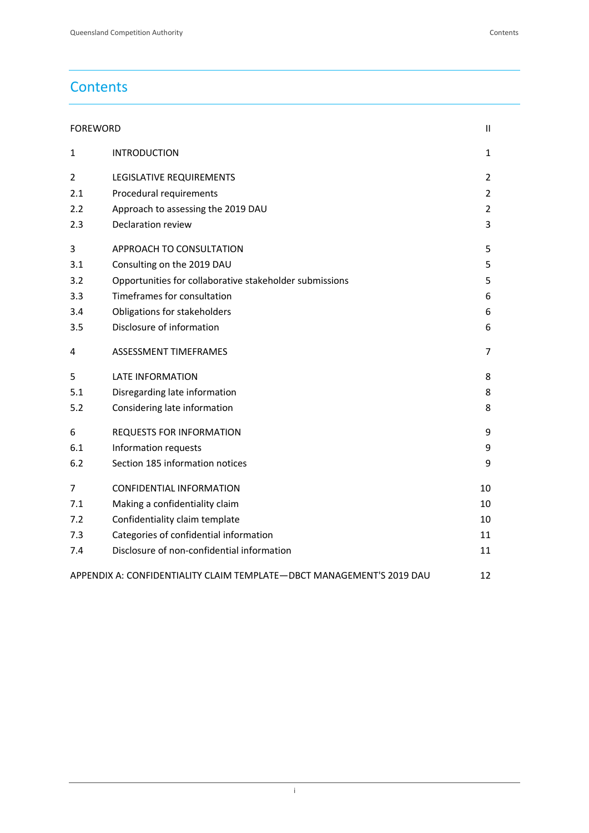# **Contents**

| <b>FOREWORD</b> |  |
|-----------------|--|
|-----------------|--|

| $\mathbf{1}$                                                                | <b>INTRODUCTION</b>                                     | $\mathbf{1}$   |  |
|-----------------------------------------------------------------------------|---------------------------------------------------------|----------------|--|
| $\overline{2}$                                                              | LEGISLATIVE REQUIREMENTS                                | $\overline{2}$ |  |
| 2.1                                                                         | Procedural requirements                                 | $\overline{2}$ |  |
| 2.2                                                                         | Approach to assessing the 2019 DAU                      | $\overline{2}$ |  |
| 2.3                                                                         | Declaration review                                      | 3              |  |
| 3                                                                           | APPROACH TO CONSULTATION                                | 5              |  |
| 3.1                                                                         | Consulting on the 2019 DAU                              | 5              |  |
| 3.2                                                                         | Opportunities for collaborative stakeholder submissions | 5              |  |
| 3.3                                                                         | Timeframes for consultation                             | 6              |  |
| 3.4                                                                         | Obligations for stakeholders                            | 6              |  |
| 3.5                                                                         | Disclosure of information                               | 6              |  |
| 4                                                                           | ASSESSMENT TIMEFRAMES                                   | 7              |  |
| 5                                                                           | <b>LATE INFORMATION</b>                                 | 8              |  |
| 5.1                                                                         | Disregarding late information                           | 8              |  |
| 5.2                                                                         | Considering late information                            | 8              |  |
| 6                                                                           | <b>REQUESTS FOR INFORMATION</b>                         | 9              |  |
| 6.1                                                                         | Information requests                                    | 9              |  |
| 6.2                                                                         | Section 185 information notices                         | 9              |  |
| 7                                                                           | <b>CONFIDENTIAL INFORMATION</b>                         | 10             |  |
| 7.1                                                                         | Making a confidentiality claim                          | 10             |  |
| 7.2                                                                         | Confidentiality claim template                          | 10             |  |
| 7.3                                                                         | Categories of confidential information                  | 11             |  |
| 7.4                                                                         | Disclosure of non-confidential information              | 11             |  |
| APPENDIX A: CONFIDENTIALITY CLAIM TEMPLATE-DBCT MANAGEMENT'S 2019 DAU<br>12 |                                                         |                |  |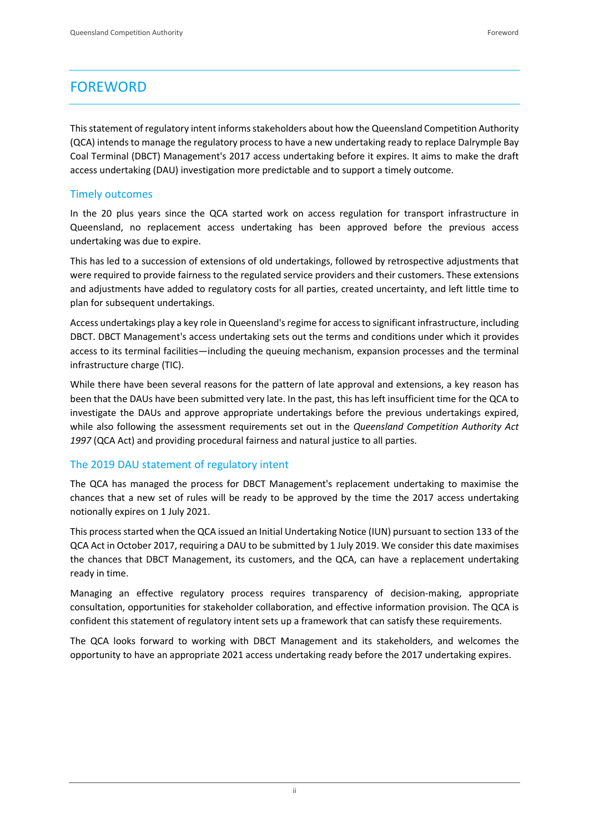# <span id="page-2-0"></span>FOREWORD

This statement of regulatory intent informs stakeholders about how the Queensland Competition Authority (QCA) intendsto manage the regulatory process to have a new undertaking ready to replace Dalrymple Bay Coal Terminal (DBCT) Management's 2017 access undertaking before it expires. It aims to make the draft access undertaking (DAU) investigation more predictable and to support a timely outcome.

#### Timely outcomes

In the 20 plus years since the QCA started work on access regulation for transport infrastructure in Queensland, no replacement access undertaking has been approved before the previous access undertaking was due to expire.

This has led to a succession of extensions of old undertakings, followed by retrospective adjustments that were required to provide fairness to the regulated service providers and their customers. These extensions and adjustments have added to regulatory costs for all parties, created uncertainty, and left little time to plan for subsequent undertakings.

Access undertakings play a key role in Queensland's regime for access to significant infrastructure, including DBCT. DBCT Management's access undertaking sets out the terms and conditions under which it provides access to its terminal facilities—including the queuing mechanism, expansion processes and the terminal infrastructure charge (TIC).

While there have been several reasons for the pattern of late approval and extensions, a key reason has been that the DAUs have been submitted very late. In the past, this has left insufficient time for the QCA to investigate the DAUs and approve appropriate undertakings before the previous undertakings expired, while also following the assessment requirements set out in the *Queensland Competition Authority Act 1997* (QCA Act) and providing procedural fairness and natural justice to all parties.

# The 2019 DAU statement of regulatory intent

The QCA has managed the process for DBCT Management's replacement undertaking to maximise the chances that a new set of rules will be ready to be approved by the time the 2017 access undertaking notionally expires on 1 July 2021.

This processstarted when the QCA issued an Initial Undertaking Notice (IUN) pursuant to section 133 of the QCA Act in October 2017, requiring a DAU to be submitted by 1 July 2019. We consider this date maximises the chances that DBCT Management, its customers, and the QCA, can have a replacement undertaking ready in time.

Managing an effective regulatory process requires transparency of decision-making, appropriate consultation, opportunities for stakeholder collaboration, and effective information provision. The QCA is confident this statement of regulatory intent sets up a framework that can satisfy these requirements.

The QCA looks forward to working with DBCT Management and its stakeholders, and welcomes the opportunity to have an appropriate 2021 access undertaking ready before the 2017 undertaking expires.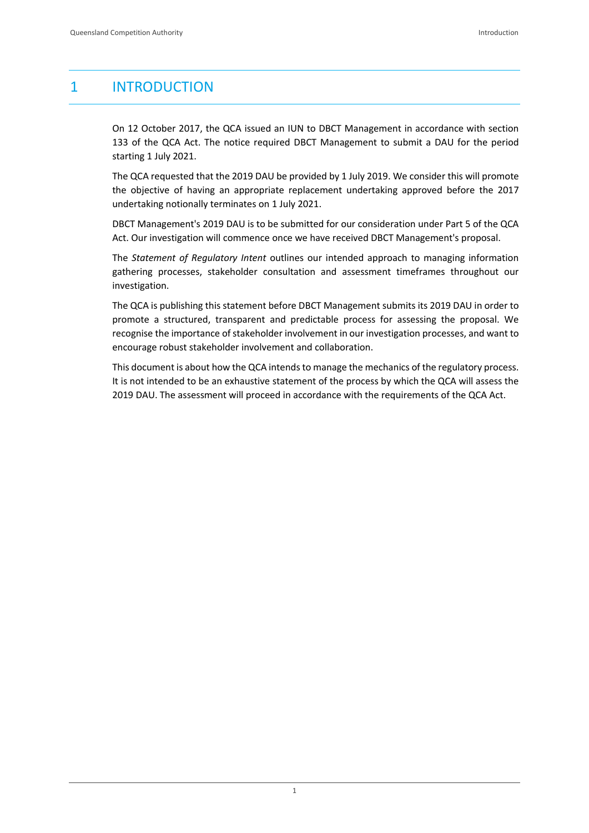# <span id="page-3-0"></span>1 INTRODUCTION

On 12 October 2017, the QCA issued an IUN to DBCT Management in accordance with section 133 of the QCA Act. The notice required DBCT Management to submit a DAU for the period starting 1 July 2021.

The QCA requested that the 2019 DAU be provided by 1 July 2019. We consider this will promote the objective of having an appropriate replacement undertaking approved before the 2017 undertaking notionally terminates on 1 July 2021.

DBCT Management's 2019 DAU is to be submitted for our consideration under Part 5 of the QCA Act. Our investigation will commence once we have received DBCT Management's proposal.

The *Statement of Regulatory Intent* outlines our intended approach to managing information gathering processes, stakeholder consultation and assessment timeframes throughout our investigation.

The QCA is publishing this statement before DBCT Management submits its 2019 DAU in order to promote a structured, transparent and predictable process for assessing the proposal. We recognise the importance of stakeholder involvement in our investigation processes, and want to encourage robust stakeholder involvement and collaboration.

This document is about how the QCA intends to manage the mechanics of the regulatory process. It is not intended to be an exhaustive statement of the process by which the QCA will assess the 2019 DAU. The assessment will proceed in accordance with the requirements of the QCA Act.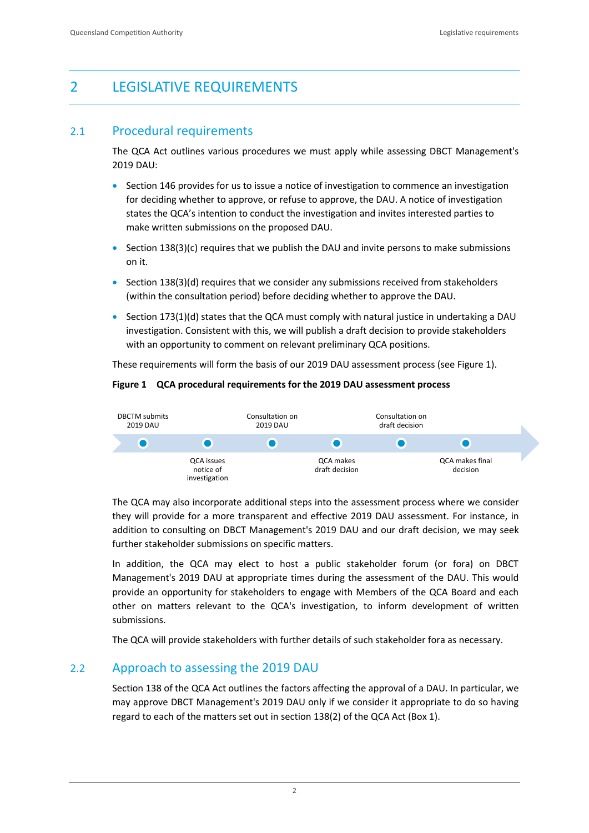# <span id="page-4-0"></span>2 LEGISLATIVE REQUIREMENTS

# <span id="page-4-1"></span>2.1 Procedural requirements

The QCA Act outlines various procedures we must apply while assessing DBCT Management's 2019 DAU:

- Section 146 provides for us to issue a notice of investigation to commence an investigation for deciding whether to approve, or refuse to approve, the DAU. A notice of investigation states the QCA's intention to conduct the investigation and invites interested parties to make written submissions on the proposed DAU.
- Section  $138(3)(c)$  requires that we publish the DAU and invite persons to make submissions on it.
- Section  $138(3)(d)$  requires that we consider any submissions received from stakeholders (within the consultation period) before deciding whether to approve the DAU.
- Section 173(1)(d) states that the QCA must comply with natural justice in undertaking a DAU investigation. Consistent with this, we will publish a draft decision to provide stakeholders with an opportunity to comment on relevant preliminary QCA positions.

These requirements will form the basis of our 2019 DAU assessment process (see Figure 1).

#### **Figure 1 QCA procedural requirements for the 2019 DAU assessment process**



The QCA may also incorporate additional steps into the assessment process where we consider they will provide for a more transparent and effective 2019 DAU assessment. For instance, in addition to consulting on DBCT Management's 2019 DAU and our draft decision, we may seek further stakeholder submissions on specific matters.

In addition, the QCA may elect to host a public stakeholder forum (or fora) on DBCT Management's 2019 DAU at appropriate times during the assessment of the DAU. This would provide an opportunity for stakeholders to engage with Members of the QCA Board and each other on matters relevant to the QCA's investigation, to inform development of written submissions.

The QCA will provide stakeholders with further details of such stakeholder fora as necessary.

# <span id="page-4-2"></span>2.2 Approach to assessing the 2019 DAU

Section 138 of the QCA Act outlines the factors affecting the approval of a DAU. In particular, we may approve DBCT Management's 2019 DAU only if we consider it appropriate to do so having regard to each of the matters set out in section 138(2) of the QCA Act (Box 1).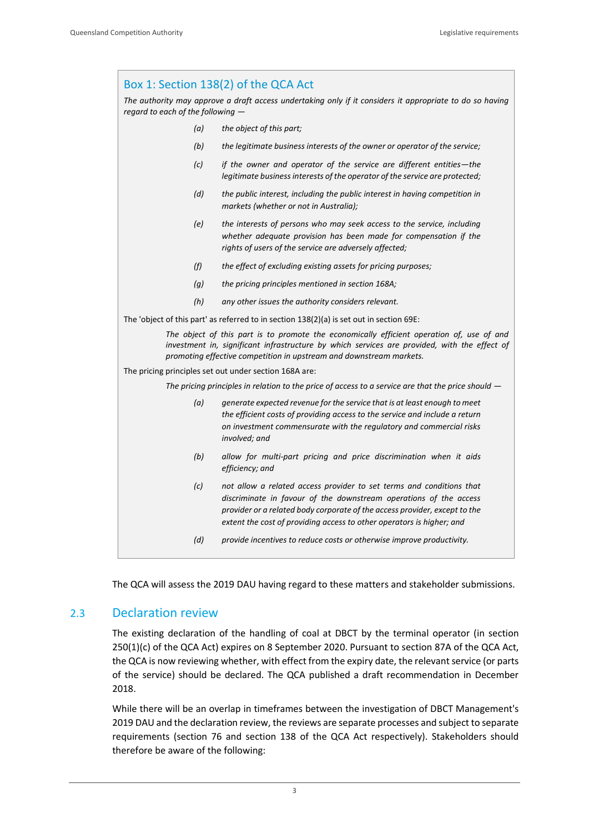# Box 1: Section 138(2) of the QCA Act *The authority may approve a draft access undertaking only if it considers it appropriate to do so having regard to each of the following — (a) the object of this part; (b) the legitimate business interests of the owner or operator of the service; (c) if the owner and operator of the service are different entities—the legitimate business interests of the operator of the service are protected; (d) the public interest, including the public interest in having competition in markets (whether or not in Australia); (e) the interests of persons who may seek access to the service, including whether adequate provision has been made for compensation if the rights of users of the service are adversely affected; (f) the effect of excluding existing assets for pricing purposes; (g) the pricing principles mentioned in section 168A; (h) any other issues the authority considers relevant.* The 'object of this part' as referred to in section 138(2)(a) is set out in section 69E: *The object of this part is to promote the economically efficient operation of, use of and*  investment in, significant infrastructure by which services are provided, with the effect of *promoting effective competition in upstream and downstream markets.* The pricing principles set out under section 168A are: *The pricing principles in relation to the price of access to a service are that the price should — (a) generate expected revenue for the service that is at least enough to meet the efficient costs of providing access to the service and include a return on investment commensurate with the regulatory and commercial risks involved; and (b) allow for multi-part pricing and price discrimination when it aids efficiency; and (c) not allow a related access provider to set terms and conditions that discriminate in favour of the downstream operations of the access provider or a related body corporate of the access provider, except to the extent the cost of providing access to other operators is higher; and (d) provide incentives to reduce costs or otherwise improve productivity.*

The QCA will assess the 2019 DAU having regard to these matters and stakeholder submissions.

#### <span id="page-5-0"></span>2.3 Declaration review

The existing declaration of the handling of coal at DBCT by the terminal operator (in section 250(1)(c) of the QCA Act) expires on 8 September 2020. Pursuant to section 87A of the QCA Act, the QCA is now reviewing whether, with effect from the expiry date, the relevant service (or parts of the service) should be declared. The QCA published a draft recommendation in December 2018.

While there will be an overlap in timeframes between the investigation of DBCT Management's 2019 DAU and the declaration review, the reviews are separate processes and subject to separate requirements (section 76 and section 138 of the QCA Act respectively). Stakeholders should therefore be aware of the following:

3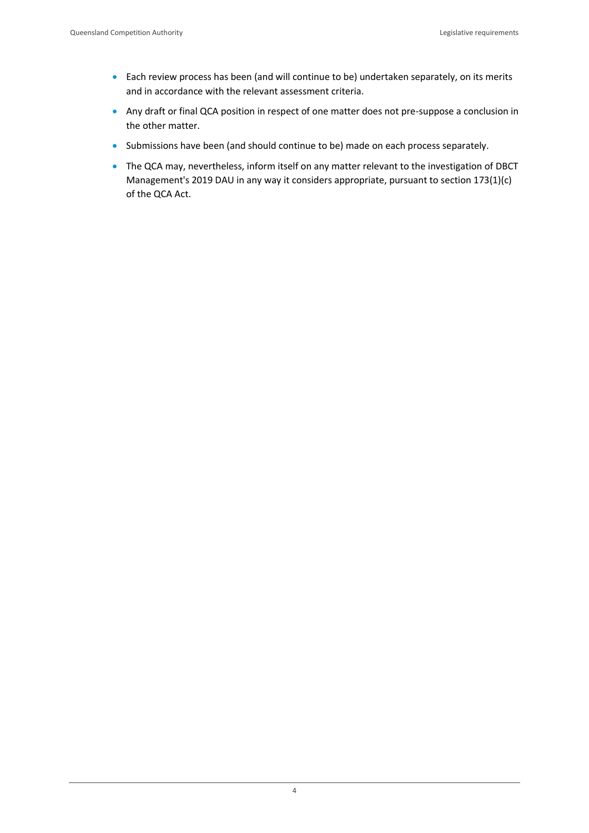- Each review process has been (and will continue to be) undertaken separately, on its merits and in accordance with the relevant assessment criteria.
- Any draft or final QCA position in respect of one matter does not pre-suppose a conclusion in the other matter.
- Submissions have been (and should continue to be) made on each process separately.
- The QCA may, nevertheless, inform itself on any matter relevant to the investigation of DBCT Management's 2019 DAU in any way it considers appropriate, pursuant to section 173(1)(c) of the QCA Act.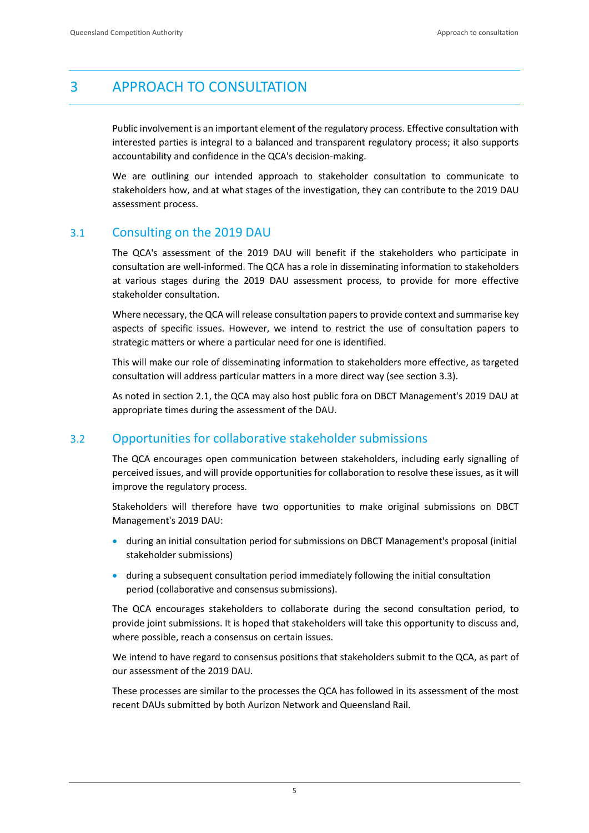# <span id="page-7-0"></span>3 APPROACH TO CONSULTATION

Public involvement is an important element of the regulatory process. Effective consultation with interested parties is integral to a balanced and transparent regulatory process; it also supports accountability and confidence in the QCA's decision-making.

We are outlining our intended approach to stakeholder consultation to communicate to stakeholders how, and at what stages of the investigation, they can contribute to the 2019 DAU assessment process.

# <span id="page-7-1"></span>3.1 Consulting on the 2019 DAU

The QCA's assessment of the 2019 DAU will benefit if the stakeholders who participate in consultation are well-informed. The QCA has a role in disseminating information to stakeholders at various stages during the 2019 DAU assessment process, to provide for more effective stakeholder consultation.

Where necessary, the QCA will release consultation papers to provide context and summarise key aspects of specific issues. However, we intend to restrict the use of consultation papers to strategic matters or where a particular need for one is identified.

This will make our role of disseminating information to stakeholders more effective, as targeted consultation will address particular matters in a more direct way (see section 3.3).

As noted in section 2.1, the QCA may also host public fora on DBCT Management's 2019 DAU at appropriate times during the assessment of the DAU.

# <span id="page-7-2"></span>3.2 Opportunities for collaborative stakeholder submissions

The QCA encourages open communication between stakeholders, including early signalling of perceived issues, and will provide opportunities for collaboration to resolve these issues, as it will improve the regulatory process.

Stakeholders will therefore have two opportunities to make original submissions on DBCT Management's 2019 DAU:

- during an initial consultation period for submissions on DBCT Management's proposal (initial stakeholder submissions)
- during a subsequent consultation period immediately following the initial consultation period (collaborative and consensus submissions).

The QCA encourages stakeholders to collaborate during the second consultation period, to provide joint submissions. It is hoped that stakeholders will take this opportunity to discuss and, where possible, reach a consensus on certain issues.

We intend to have regard to consensus positions that stakeholders submit to the QCA, as part of our assessment of the 2019 DAU.

These processes are similar to the processes the QCA has followed in its assessment of the most recent DAUs submitted by both Aurizon Network and Queensland Rail.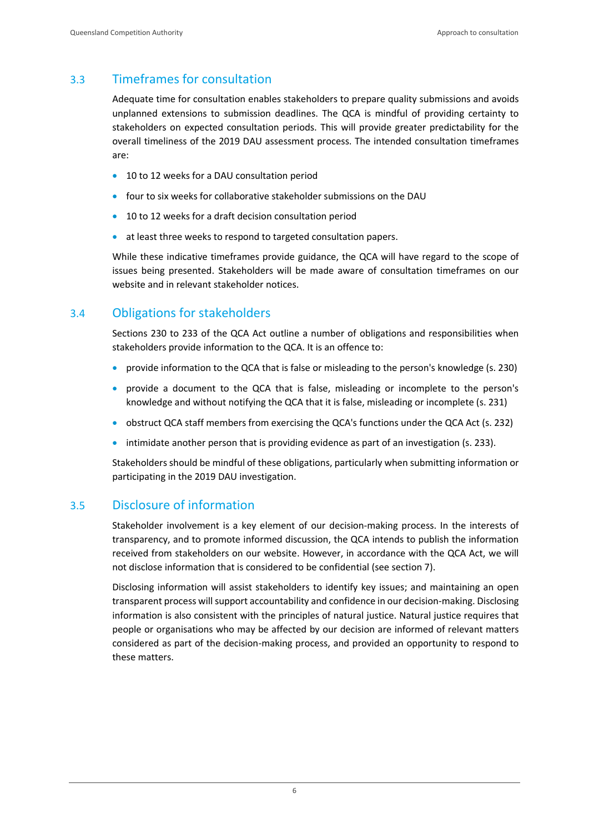# <span id="page-8-0"></span>3.3 Timeframes for consultation

Adequate time for consultation enables stakeholders to prepare quality submissions and avoids unplanned extensions to submission deadlines. The QCA is mindful of providing certainty to stakeholders on expected consultation periods. This will provide greater predictability for the overall timeliness of the 2019 DAU assessment process. The intended consultation timeframes are:

- 10 to 12 weeks for a DAU consultation period
- four to six weeks for collaborative stakeholder submissions on the DAU
- 10 to 12 weeks for a draft decision consultation period
- at least three weeks to respond to targeted consultation papers.

While these indicative timeframes provide guidance, the QCA will have regard to the scope of issues being presented. Stakeholders will be made aware of consultation timeframes on our website and in relevant stakeholder notices.

# <span id="page-8-1"></span>3.4 Obligations for stakeholders

Sections 230 to 233 of the QCA Act outline a number of obligations and responsibilities when stakeholders provide information to the QCA. It is an offence to:

- provide information to the QCA that is false or misleading to the person's knowledge (s. 230)
- provide a document to the QCA that is false, misleading or incomplete to the person's knowledge and without notifying the QCA that it is false, misleading or incomplete (s. 231)
- obstruct QCA staff members from exercising the QCA's functions under the QCA Act (s. 232)
- intimidate another person that is providing evidence as part of an investigation (s. 233).

Stakeholders should be mindful of these obligations, particularly when submitting information or participating in the 2019 DAU investigation.

# <span id="page-8-2"></span>3.5 Disclosure of information

Stakeholder involvement is a key element of our decision-making process. In the interests of transparency, and to promote informed discussion, the QCA intends to publish the information received from stakeholders on our website. However, in accordance with the QCA Act, we will not disclose information that is considered to be confidential (see section 7).

Disclosing information will assist stakeholders to identify key issues; and maintaining an open transparent process will support accountability and confidence in our decision-making. Disclosing information is also consistent with the principles of natural justice. Natural justice requires that people or organisations who may be affected by our decision are informed of relevant matters considered as part of the decision-making process, and provided an opportunity to respond to these matters.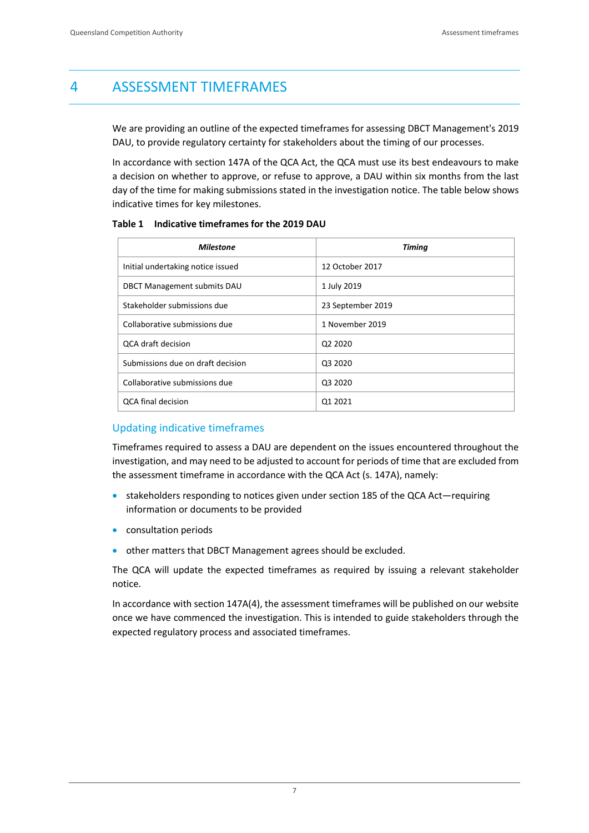# <span id="page-9-0"></span>4 ASSESSMENT TIMEFRAMES

We are providing an outline of the expected timeframes for assessing DBCT Management's 2019 DAU, to provide regulatory certainty for stakeholders about the timing of our processes.

In accordance with section 147A of the QCA Act, the QCA must use its best endeavours to make a decision on whether to approve, or refuse to approve, a DAU within six months from the last day of the time for making submissions stated in the investigation notice. The table below shows indicative times for key milestones.

| <b>Milestone</b>                   | <b>Timing</b>                   |
|------------------------------------|---------------------------------|
| Initial undertaking notice issued  | 12 October 2017                 |
| <b>DBCT Management submits DAU</b> | 1 July 2019                     |
| Stakeholder submissions due        | 23 September 2019               |
| Collaborative submissions due      | 1 November 2019                 |
| <b>QCA draft decision</b>          | Q <sub>2</sub> 20 <sub>20</sub> |
| Submissions due on draft decision  | Q3 2020                         |
| Collaborative submissions due      | Q3 2020                         |
| <b>QCA</b> final decision          | Q1 2021                         |

**Table 1 Indicative timeframes for the 2019 DAU**

#### Updating indicative timeframes

Timeframes required to assess a DAU are dependent on the issues encountered throughout the investigation, and may need to be adjusted to account for periods of time that are excluded from the assessment timeframe in accordance with the QCA Act (s. 147A), namely:

- stakeholders responding to notices given under section 185 of the QCA Act—requiring information or documents to be provided
- **•** consultation periods
- other matters that DBCT Management agrees should be excluded.

The QCA will update the expected timeframes as required by issuing a relevant stakeholder notice.

In accordance with section 147A(4), the assessment timeframes will be published on our website once we have commenced the investigation. This is intended to guide stakeholders through the expected regulatory process and associated timeframes.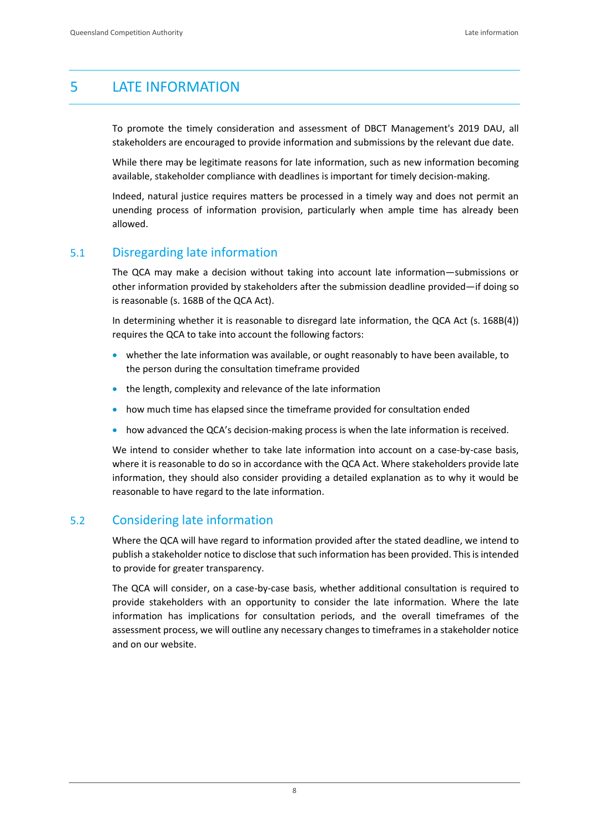# <span id="page-10-0"></span>5 LATE INFORMATION

To promote the timely consideration and assessment of DBCT Management's 2019 DAU, all stakeholders are encouraged to provide information and submissions by the relevant due date.

While there may be legitimate reasons for late information, such as new information becoming available, stakeholder compliance with deadlines is important for timely decision-making.

Indeed, natural justice requires matters be processed in a timely way and does not permit an unending process of information provision, particularly when ample time has already been allowed.

# <span id="page-10-1"></span>5.1 Disregarding late information

The QCA may make a decision without taking into account late information—submissions or other information provided by stakeholders after the submission deadline provided—if doing so is reasonable (s. 168B of the QCA Act).

In determining whether it is reasonable to disregard late information, the QCA Act (s. 168B(4)) requires the QCA to take into account the following factors:

- whether the late information was available, or ought reasonably to have been available, to the person during the consultation timeframe provided
- the length, complexity and relevance of the late information
- how much time has elapsed since the timeframe provided for consultation ended
- how advanced the QCA's decision-making process is when the late information is received.

We intend to consider whether to take late information into account on a case-by-case basis, where it is reasonable to do so in accordance with the QCA Act. Where stakeholders provide late information, they should also consider providing a detailed explanation as to why it would be reasonable to have regard to the late information.

# <span id="page-10-2"></span>5.2 Considering late information

Where the QCA will have regard to information provided after the stated deadline, we intend to publish a stakeholder notice to disclose that such information has been provided. This is intended to provide for greater transparency.

The QCA will consider, on a case-by-case basis, whether additional consultation is required to provide stakeholders with an opportunity to consider the late information. Where the late information has implications for consultation periods, and the overall timeframes of the assessment process, we will outline any necessary changes to timeframes in a stakeholder notice and on our website.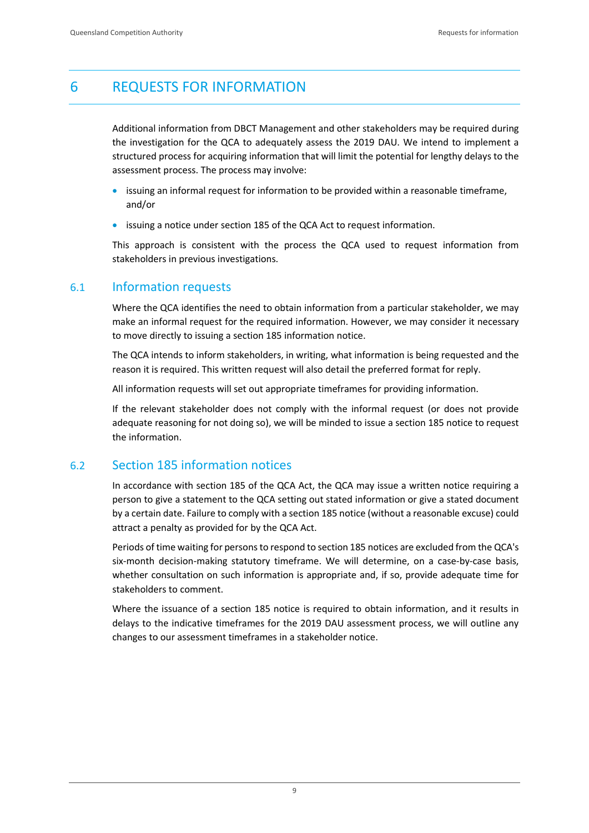# <span id="page-11-0"></span>6 REQUESTS FOR INFORMATION

Additional information from DBCT Management and other stakeholders may be required during the investigation for the QCA to adequately assess the 2019 DAU. We intend to implement a structured process for acquiring information that will limit the potential for lengthy delays to the assessment process. The process may involve:

- **•** issuing an informal request for information to be provided within a reasonable timeframe, and/or
- issuing a notice under section 185 of the QCA Act to request information.

This approach is consistent with the process the QCA used to request information from stakeholders in previous investigations.

#### <span id="page-11-1"></span>6.1 Information requests

Where the QCA identifies the need to obtain information from a particular stakeholder, we may make an informal request for the required information. However, we may consider it necessary to move directly to issuing a section 185 information notice.

The QCA intends to inform stakeholders, in writing, what information is being requested and the reason it is required. This written request will also detail the preferred format for reply.

All information requests will set out appropriate timeframes for providing information.

If the relevant stakeholder does not comply with the informal request (or does not provide adequate reasoning for not doing so), we will be minded to issue a section 185 notice to request the information.

# <span id="page-11-2"></span>6.2 Section 185 information notices

In accordance with section 185 of the QCA Act, the QCA may issue a written notice requiring a person to give a statement to the QCA setting out stated information or give a stated document by a certain date. Failure to comply with a section 185 notice (without a reasonable excuse) could attract a penalty as provided for by the QCA Act.

Periods of time waiting for persons to respond to section 185 notices are excluded from the QCA's six-month decision-making statutory timeframe. We will determine, on a case-by-case basis, whether consultation on such information is appropriate and, if so, provide adequate time for stakeholders to comment.

Where the issuance of a section 185 notice is required to obtain information, and it results in delays to the indicative timeframes for the 2019 DAU assessment process, we will outline any changes to our assessment timeframes in a stakeholder notice.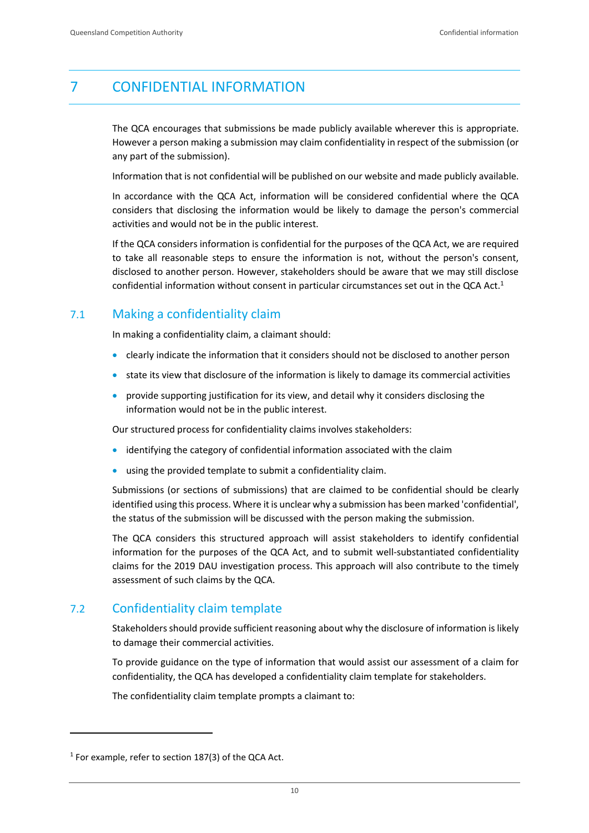# <span id="page-12-0"></span>7 CONFIDENTIAL INFORMATION

The QCA encourages that submissions be made publicly available wherever this is appropriate. However a person making a submission may claim confidentiality in respect of the submission (or any part of the submission).

Information that is not confidential will be published on our website and made publicly available.

In accordance with the QCA Act, information will be considered confidential where the QCA considers that disclosing the information would be likely to damage the person's commercial activities and would not be in the public interest.

If the QCA considers information is confidential for the purposes of the QCA Act, we are required to take all reasonable steps to ensure the information is not, without the person's consent, disclosed to another person. However, stakeholders should be aware that we may still disclose confidential information without consent in particular circumstances set out in the QCA Act.<sup>1</sup>

# <span id="page-12-1"></span>7.1 Making a confidentiality claim

In making a confidentiality claim, a claimant should:

- clearly indicate the information that it considers should not be disclosed to another person
- state its view that disclosure of the information is likely to damage its commercial activities
- **•** provide supporting justification for its view, and detail why it considers disclosing the information would not be in the public interest.

Our structured process for confidentiality claims involves stakeholders:

- identifying the category of confidential information associated with the claim
- using the provided template to submit a confidentiality claim.

Submissions (or sections of submissions) that are claimed to be confidential should be clearly identified using this process. Where it is unclear why a submission has been marked 'confidential', the status of the submission will be discussed with the person making the submission.

The QCA considers this structured approach will assist stakeholders to identify confidential information for the purposes of the QCA Act, and to submit well-substantiated confidentiality claims for the 2019 DAU investigation process. This approach will also contribute to the timely assessment of such claims by the QCA.

# <span id="page-12-2"></span>7.2 Confidentiality claim template

Stakeholders should provide sufficient reasoning about why the disclosure of information is likely to damage their commercial activities.

To provide guidance on the type of information that would assist our assessment of a claim for confidentiality, the QCA has developed a confidentiality claim template for stakeholders.

The confidentiality claim template prompts a claimant to:

 $\overline{a}$ 

 $1$  For example, refer to section 187(3) of the QCA Act.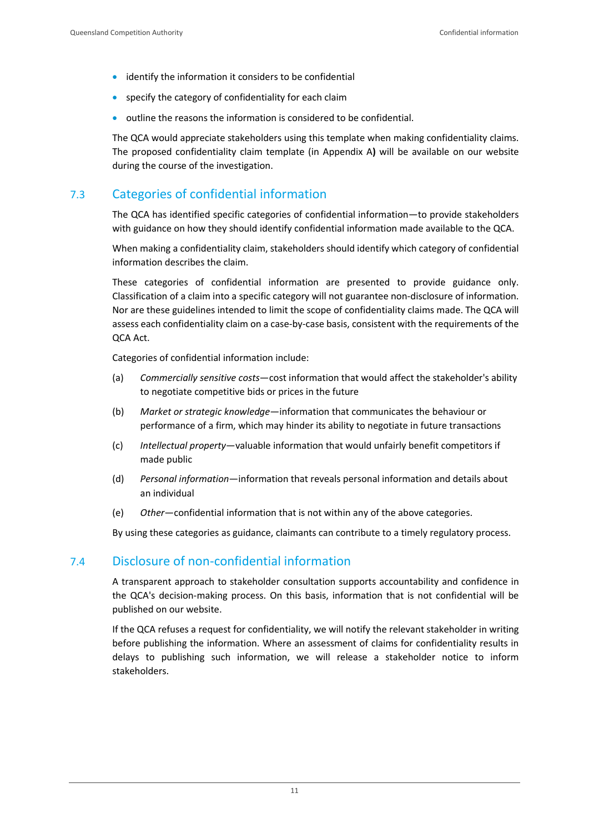- identify the information it considers to be confidential
- specify the category of confidentiality for each claim
- outline the reasons the information is considered to be confidential.

The QCA would appreciate stakeholders using this template when making confidentiality claims. The proposed confidentiality claim template (in Appendix A**)** will be available on our website during the course of the investigation.

# <span id="page-13-0"></span>7.3 Categories of confidential information

The QCA has identified specific categories of confidential information—to provide stakeholders with guidance on how they should identify confidential information made available to the QCA.

When making a confidentiality claim, stakeholders should identify which category of confidential information describes the claim.

These categories of confidential information are presented to provide guidance only. Classification of a claim into a specific category will not guarantee non-disclosure of information. Nor are these guidelines intended to limit the scope of confidentiality claims made. The QCA will assess each confidentiality claim on a case-by-case basis, consistent with the requirements of the QCA Act.

Categories of confidential information include:

- (a) *Commercially sensitive costs*—cost information that would affect the stakeholder's ability to negotiate competitive bids or prices in the future
- (b) *Market or strategic knowledge*—information that communicates the behaviour or performance of a firm, which may hinder its ability to negotiate in future transactions
- (c) *Intellectual property*—valuable information that would unfairly benefit competitors if made public
- (d) *Personal information*—information that reveals personal information and details about an individual
- (e) *Other*—confidential information that is not within any of the above categories.

By using these categories as guidance, claimants can contribute to a timely regulatory process.

# <span id="page-13-1"></span>7.4 Disclosure of non-confidential information

A transparent approach to stakeholder consultation supports accountability and confidence in the QCA's decision-making process. On this basis, information that is not confidential will be published on our website.

If the QCA refuses a request for confidentiality, we will notify the relevant stakeholder in writing before publishing the information. Where an assessment of claims for confidentiality results in delays to publishing such information, we will release a stakeholder notice to inform stakeholders.